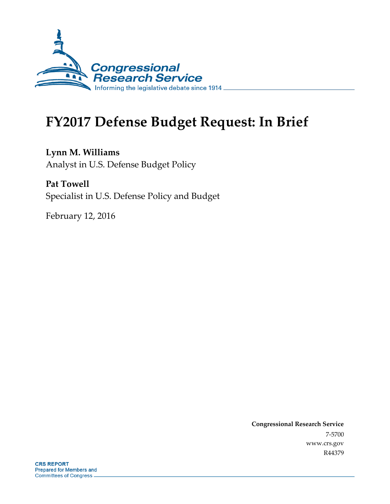

# **FY2017 Defense Budget Request: In Brief**

**Lynn M. Williams** Analyst in U.S. Defense Budget Policy

**Pat Towell** Specialist in U.S. Defense Policy and Budget

February 12, 2016

**Congressional Research Service** 7-5700 www.crs.gov R44379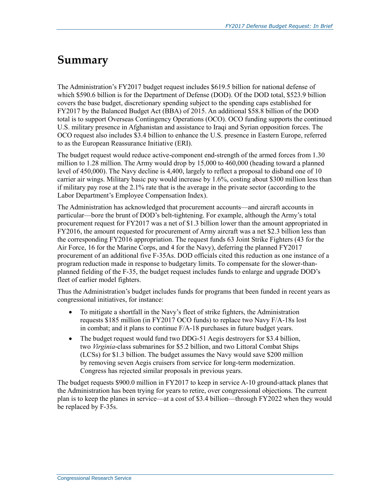# **Summary**

The Administration's FY2017 budget request includes \$619.5 billion for national defense of which \$590.6 billion is for the Department of Defense (DOD). Of the DOD total, \$523.9 billion covers the base budget, discretionary spending subject to the spending caps established for FY2017 by the Balanced Budget Act (BBA) of 2015. An additional \$58.8 billion of the DOD total is to support Overseas Contingency Operations (OCO). OCO funding supports the continued U.S. military presence in Afghanistan and assistance to Iraqi and Syrian opposition forces. The OCO request also includes \$3.4 billion to enhance the U.S. presence in Eastern Europe, referred to as the European Reassurance Initiative (ERI).

The budget request would reduce active-component end-strength of the armed forces from 1.30 million to 1.28 million. The Army would drop by 15,000 to 460,000 (heading toward a planned level of 450,000). The Navy decline is 4,400, largely to reflect a proposal to disband one of 10 carrier air wings. Military basic pay would increase by 1.6%, costing about \$300 million less than if military pay rose at the 2.1% rate that is the average in the private sector (according to the Labor Department's Employee Compensation Index).

The Administration has acknowledged that procurement accounts—and aircraft accounts in particular—bore the brunt of DOD's belt-tightening. For example, although the Army's total procurement request for FY2017 was a net of \$1.3 billion lower than the amount appropriated in FY2016, the amount requested for procurement of Army aircraft was a net \$2.3 billion less than the corresponding FY2016 appropriation. The request funds 63 Joint Strike Fighters (43 for the Air Force, 16 for the Marine Corps, and 4 for the Navy), deferring the planned FY2017 procurement of an additional five F-35As. DOD officials cited this reduction as one instance of a program reduction made in response to budgetary limits. To compensate for the slower-thanplanned fielding of the F-35, the budget request includes funds to enlarge and upgrade DOD's fleet of earlier model fighters.

Thus the Administration's budget includes funds for programs that been funded in recent years as congressional initiatives, for instance:

- To mitigate a shortfall in the Navy's fleet of strike fighters, the Administration requests \$185 million (in FY2017 OCO funds) to replace two Navy F/A-18s lost in combat; and it plans to continue F/A-18 purchases in future budget years.
- The budget request would fund two DDG-51 Aegis destroyers for \$3.4 billion, two *Virginia-*class submarines for \$5.2 billion, and two Littoral Combat Ships (LCSs) for \$1.3 billion. The budget assumes the Navy would save \$200 million by removing seven Aegis cruisers from service for long-term modernization. Congress has rejected similar proposals in previous years.

The budget requests \$900.0 million in FY2017 to keep in service A-10 ground-attack planes that the Administration has been trying for years to retire, over congressional objections. The current plan is to keep the planes in service—at a cost of \$3.4 billion—through FY2022 when they would be replaced by F-35s.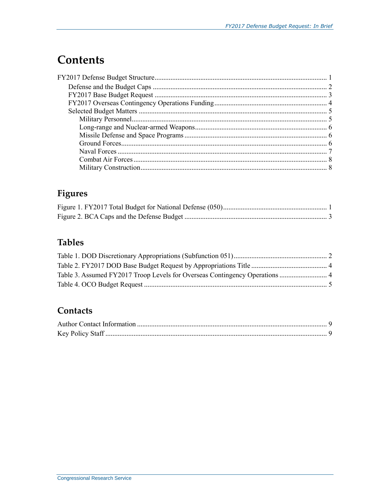# **Contents**

# Figures

# **Tables**

### Contacts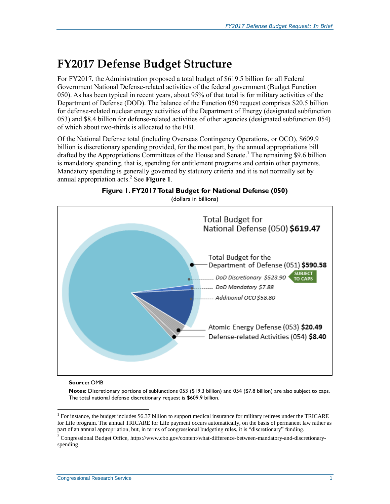# **FY2017 Defense Budget Structure**

For FY2017, the Administration proposed a total budget of \$619.5 billion for all Federal Government National Defense-related activities of the federal government (Budget Function 050). As has been typical in recent years, about 95% of that total is for military activities of the Department of Defense (DOD). The balance of the Function 050 request comprises \$20.5 billion for defense-related nuclear energy activities of the Department of Energy (designated subfunction 053) and \$8.4 billion for defense-related activities of other agencies (designated subfunction 054) of which about two-thirds is allocated to the FBI.

Of the National Defense total (including Overseas Contingency Operations, or OCO), \$609.9 billion is discretionary spending provided, for the most part, by the annual appropriations bill drafted by the Appropriations Committees of the House and Senate.<sup>1</sup> The remaining \$9.6 billion is mandatory spending, that is, spending for entitlement programs and certain other payments. Mandatory spending is generally governed by statutory criteria and it is not normally set by annual appropriation acts.<sup>2</sup> See [Figure 1](#page-3-0).

<span id="page-3-0"></span>

**Figure 1. FY2017Total Budget for National Defense (050)** (dollars in billions)

#### **Source:** OMB

 $\overline{a}$ 

**Notes:** Discretionary portions of subfunctions 053 (\$19.3 billion) and 054 (\$7.8 billion) are also subject to caps. The total national defense discretionary request is \$609.9 billion.

<sup>&</sup>lt;sup>1</sup> For instance, the budget includes \$6.37 billion to support medical insurance for military retirees under the TRICARE for Life program. The annual TRICARE for Life payment occurs automatically, on the basis of permanent law rather as part of an annual appropriation, but, in terms of congressional budgeting rules, it is "discretionary" funding.

<sup>2</sup> Congressional Budget Office, https://www.cbo.gov/content/what-difference-between-mandatory-and-discretionaryspending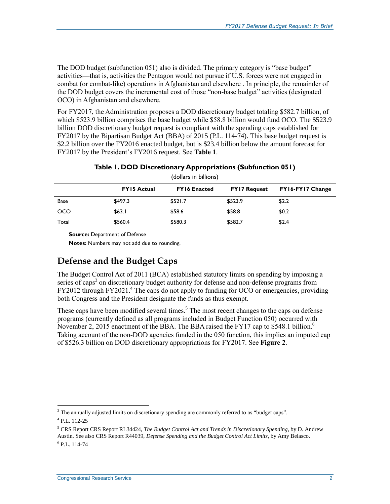The DOD budget (subfunction 051) also is divided. The primary category is "base budget" activities—that is, activities the Pentagon would not pursue if U.S. forces were not engaged in combat (or combat-like) operations in Afghanistan and elsewhere . In principle, the remainder of the DOD budget covers the incremental cost of those "non-base budget" activities (designated OCO) in Afghanistan and elsewhere.

For FY2017, the Administration proposes a DOD discretionary budget totaling \$582.7 billion, of which \$523.9 billion comprises the base budget while \$58.8 billion would fund OCO. The \$523.9 billion DOD discretionary budget request is compliant with the spending caps established for FY2017 by the Bipartisan Budget Act (BBA) of 2015 (P.L. 114-74). This base budget request is \$2.2 billion over the FY2016 enacted budget, but is \$23.4 billion below the amount forecast for FY2017 by the President's FY2016 request. See **[Table 1](#page-4-0)**.

<span id="page-4-0"></span>

| (dollars in billions) |                    |                     |                     |                  |
|-----------------------|--------------------|---------------------|---------------------|------------------|
|                       | <b>FY15 Actual</b> | <b>FY16 Enacted</b> | <b>FY17 Request</b> | FY16-FY17 Change |
| <b>Base</b>           | \$497.3            | \$521.7             | \$523.9             | \$2.2            |
| <b>OCO</b>            | \$63.1             | \$58.6              | \$58.8              | \$0.2            |
| Total                 | \$560.4            | \$580.3             | \$582.7             | \$2.4            |

**Table 1. DOD Discretionary Appropriations (Subfunction 051)**

**Source:** Department of Defense

**Notes:** Numbers may not add due to rounding.

### **Defense and the Budget Caps**

The Budget Control Act of 2011 (BCA) established statutory limits on spending by imposing a series of caps<sup>3</sup> on discretionary budget authority for defense and non-defense programs from FY2012 through FY2021.<sup>4</sup> The caps do not apply to funding for OCO or emergencies, providing both Congress and the President designate the funds as thus exempt.

These caps have been modified several times.<sup>5</sup> The most recent changes to the caps on defense programs (currently defined as all programs included in Budget Function 050) occurred with November 2, 2015 enactment of the BBA. The BBA raised the FY17 cap to \$548.1 billion.<sup>6</sup> Taking account of the non-DOD agencies funded in the 050 function, this implies an imputed cap of \$526.3 billion on DOD discretionary appropriations for FY2017. See **[Figure 2](#page-5-0)**.

 $\overline{a}$ 

 $3$  The annually adjusted limits on discretionary spending are commonly referred to as "budget caps".

<sup>4</sup> P.L. 112-25

<sup>5</sup> CRS Report CRS Report RL34424, *The Budget Control Act and Trends in Discretionary Spending*, by D. Andrew Austin. See also CRS Report R44039, *Defense Spending and the Budget Control Act Limits*, by Amy Belasco. 6 P.L. 114-74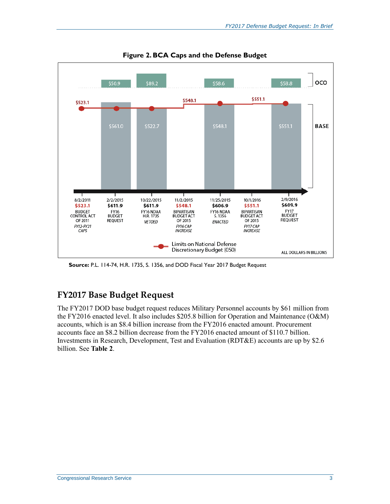<span id="page-5-0"></span>

**Figure 2. BCA Caps and the Defense Budget**

**Source:** P.L. 114-74, H.R. 1735, S. 1356, and DOD Fiscal Year 2017 Budget Request

### **FY2017 Base Budget Request**

The FY2017 DOD base budget request reduces Military Personnel accounts by \$61 million from the FY2016 enacted level. It also includes \$205.8 billion for Operation and Maintenance (O&M) accounts, which is an \$8.4 billion increase from the FY2016 enacted amount. Procurement accounts face an \$8.2 billion decrease from the FY2016 enacted amount of \$110.7 billion. Investments in Research, Development, Test and Evaluation (RDT&E) accounts are up by \$2.6 billion. See **[Table 2](#page-6-0)**.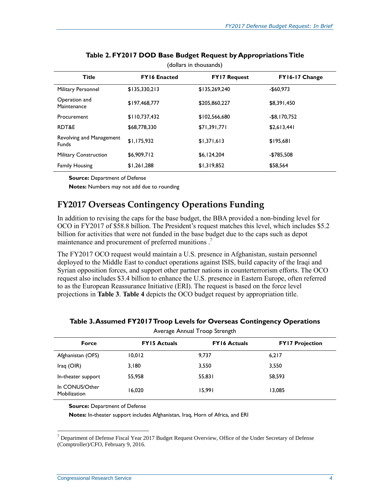<span id="page-6-0"></span>

| <b>Title</b>                             | <b>FY16 Enacted</b> | <b>FY17 Request</b> | FY16-17 Change  |  |
|------------------------------------------|---------------------|---------------------|-----------------|--|
| Military Personnel                       | \$135,330,213       | \$135,269,240       | $-$60,973$      |  |
| Operation and<br>Maintenance             | \$197,468,777       | \$205,860,227       | \$8,391,450     |  |
| Procurement                              | \$110,737,432       | \$102,566,680       | $-$ \$8,170,752 |  |
| RDT&E                                    | \$68,778,330        | \$71,391,771        | \$2,613,441     |  |
| Revolving and Management<br><b>Funds</b> | \$1,175,932         | \$1,371,613         | \$195,681       |  |
| <b>Military Construction</b>             | \$6,909,712         | \$6,124,204         | $-$785,508$     |  |
| <b>Family Housing</b>                    | \$1,261,288         | \$1,319,852         | \$58,564        |  |

#### **Table 2. FY2017 DOD Base Budget Request by AppropriationsTitle** (dollars in thousands)

**Source:** Department of Defense

**Notes:** Numbers may not add due to rounding

### **FY2017 Overseas Contingency Operations Funding**

In addition to revising the caps for the base budget, the BBA provided a non-binding level for OCO in FY2017 of \$58.8 billion. The President's request matches this level, which includes \$5.2 billion for activities that were not funded in the base budget due to the caps such as depot maintenance and procurement of preferred munitions.<sup>7</sup>

The FY2017 OCO request would maintain a U.S. presence in Afghanistan, sustain personnel deployed to the Middle East to conduct operations against ISIS, build capacity of the Iraqi and Syrian opposition forces, and support other partner nations in counterterrorism efforts. The OCO request also includes \$3.4 billion to enhance the U.S. presence in Eastern Europe, often referred to as the European Reassurance Initiative (ERI). The request is based on the force level projections in **[Table 3](#page-6-1)**. **[Table 4](#page-7-0)** depicts the OCO budget request by appropriation title.

<span id="page-6-1"></span>

| Average Annual Troop Strength  |                     |                     |                        |  |
|--------------------------------|---------------------|---------------------|------------------------|--|
| <b>Force</b>                   | <b>FY15 Actuals</b> | <b>FY16 Actuals</b> | <b>FY17 Projection</b> |  |
| Afghanistan (OFS)              | 10.012              | 9.737               | 6,217                  |  |
| Iraq $(OIR)$                   | 3,180               | 3,550               | 3,550                  |  |
| In-theater support             | 55,958              | 55.831              | 58.593                 |  |
| In CONUS/Other<br>Mobilization | 16,020              | 15.991              | 13,085                 |  |

#### **Table 3. Assumed FY2017 Troop Levels for Overseas Contingency Operations**

**Source:** Department of Defense

**Notes:** In-theater support includes Afghanistan, Iraq, Horn of Africa, and ERI

 $\overline{a}$ 

<sup>7</sup> Department of Defense Fiscal Year 2017 Budget Request Overview, Office of the Under Secretary of Defense (Comptroller)/CFO, February 9, 2016.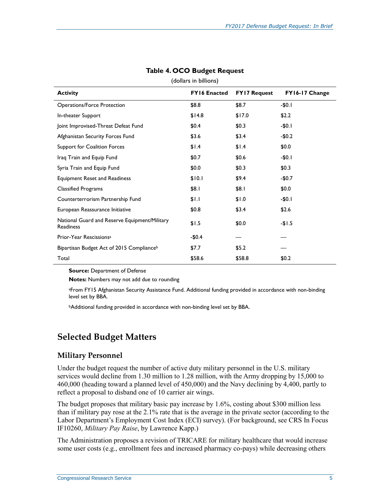<span id="page-7-0"></span>

| <b>Activity</b>                                                   | <b>FY16 Enacted</b> | <b>FY17 Request</b> | FY16-17 Change |
|-------------------------------------------------------------------|---------------------|---------------------|----------------|
| <b>Operations/Force Protection</b>                                | \$8.8               | \$8.7               | $-50.1$        |
| In-theater Support                                                | \$14.8              | \$17.0              | \$2.2          |
| Joint Improvised-Threat Defeat Fund                               | \$0.4               | \$0.3               | $-$0.1$        |
| Afghanistan Security Forces Fund                                  | \$3.6               | \$3.4               | $-$0.2$        |
| Support for Coalition Forces                                      | \$1.4               | \$1.4               | \$0.0\$        |
| Iraq Train and Equip Fund                                         | \$0.7               | \$0.6               | $-$0.1$        |
| Syria Train and Equip Fund                                        | \$0.0               | \$0.3               | \$0.3          |
| <b>Equipment Reset and Readiness</b>                              | \$10.1              | \$9.4               | $-$0.7$        |
| <b>Classified Programs</b>                                        | \$8.1               | \$8.I               | \$0.0\$        |
| Counterterrorism Partnership Fund                                 | \$1.1               | \$1.0               | $-$0.1$        |
| European Reassurance Initiative                                   | \$0.8               | \$3.4               | \$2.6          |
| National Guard and Reserve Equipment/Military<br><b>Readiness</b> | \$1.5               | \$0.0               | $-1.5$         |
| Prior-Year Rescissions <sup>a</sup>                               | -\$0.4              |                     |                |
| Bipartisan Budget Act of 2015 Compliance <sup>b</sup>             | \$7.7               | \$5.2               |                |
| Total                                                             | \$58.6              | \$58.8              | \$0.2          |

#### **Table 4. OCO Budget Request**

(dollars in billions)

**Source:** Department of Defense

**Notes:** Numbers may not add due to rounding

aFrom FY15 Afghanistan Security Assistance Fund. Additional funding provided in accordance with non-binding level set by BBA.

**bAdditional funding provided in accordance with non-binding level set by BBA.** 

## **Selected Budget Matters**

#### **Military Personnel**

Under the budget request the number of active duty military personnel in the U.S. military services would decline from 1.30 million to 1.28 million, with the Army dropping by 15,000 to 460,000 (heading toward a planned level of 450,000) and the Navy declining by 4,400, partly to reflect a proposal to disband one of 10 carrier air wings.

The budget proposes that military basic pay increase by 1.6%, costing about \$300 million less than if military pay rose at the 2.1% rate that is the average in the private sector (according to the Labor Department's Employment Cost Index (ECI) survey). (For background, see CRS In Focus IF10260, *Military Pay Raise*, by Lawrence Kapp.)

The Administration proposes a revision of TRICARE for military healthcare that would increase some user costs (e.g., enrollment fees and increased pharmacy co-pays) while decreasing others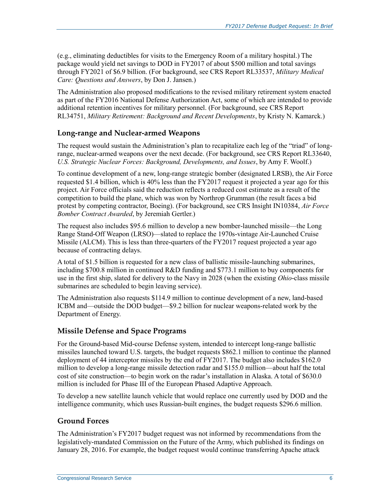(e.g., eliminating deductibles for visits to the Emergency Room of a military hospital.) The package would yield net savings to DOD in FY2017 of about \$500 million and total savings through FY2021 of \$6.9 billion. (For background, see CRS Report RL33537, *Military Medical Care: Questions and Answers*, by Don J. Jansen.)

The Administration also proposed modifications to the revised military retirement system enacted as part of the FY2016 National Defense Authorization Act, some of which are intended to provide additional retention incentives for military personnel. (For background, see CRS Report RL34751, *Military Retirement: Background and Recent Developments*, by Kristy N. Kamarck.)

#### **Long-range and Nuclear-armed Weapons**

The request would sustain the Administration's plan to recapitalize each leg of the "triad" of longrange, nuclear-armed weapons over the next decade. (For background, see CRS Report RL33640, *U.S. Strategic Nuclear Forces: Background, Developments, and Issues*, by Amy F. Woolf.)

To continue development of a new, long-range strategic bomber (designated LRSB), the Air Force requested \$1.4 billion, which is 40% less than the FY2017 request it projected a year ago for this project. Air Force officials said the reduction reflects a reduced cost estimate as a result of the competition to build the plane, which was won by Northrop Grumman (the result faces a bid protest by competing contractor, Boeing). (For background, see CRS Insight IN10384, *Air Force Bomber Contract Awarded*, by Jeremiah Gertler.)

The request also includes \$95.6 million to develop a new bomber-launched missile—the Long Range Stand-Off Weapon (LRSO)—slated to replace the 1970s-vintage Air-Launched Cruise Missile (ALCM). This is less than three-quarters of the FY2017 request projected a year ago because of contracting delays.

A total of \$1.5 billion is requested for a new class of ballistic missile-launching submarines, including \$700.8 million in continued R&D funding and \$773.1 million to buy components for use in the first ship, slated for delivery to the Navy in 2028 (when the existing *Ohio*-class missile submarines are scheduled to begin leaving service).

The Administration also requests \$114.9 million to continue development of a new, land-based ICBM and—outside the DOD budget—\$9.2 billion for nuclear weapons-related work by the Department of Energy.

#### **Missile Defense and Space Programs**

For the Ground-based Mid-course Defense system, intended to intercept long-range ballistic missiles launched toward U.S. targets, the budget requests \$862.1 million to continue the planned deployment of 44 interceptor missiles by the end of FY2017. The budget also includes \$162.0 million to develop a long-range missile detection radar and \$155.0 million—about half the total cost of site construction—to begin work on the radar's installation in Alaska. A total of \$630.0 million is included for Phase III of the European Phased Adaptive Approach.

To develop a new satellite launch vehicle that would replace one currently used by DOD and the intelligence community, which uses Russian-built engines, the budget requests \$296.6 million.

#### **Ground Forces**

The Administration's FY2017 budget request was not informed by recommendations from the legislatively-mandated Commission on the Future of the Army, which published its findings on January 28, 2016. For example, the budget request would continue transferring Apache attack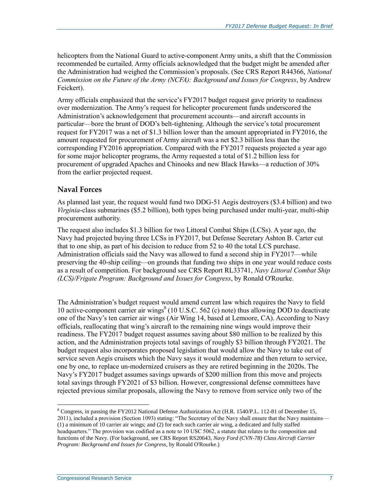helicopters from the National Guard to active-component Army units, a shift that the Commission recommended be curtailed. Army officials acknowledged that the budget might be amended after the Administration had weighed the Commission's proposals. (See CRS Report R44366, *National Commission on the Future of the Army (NCFA): Background and Issues for Congress*, by Andrew Feickert).

Army officials emphasized that the service's FY2017 budget request gave priority to readiness over modernization. The Army's request for helicopter procurement funds underscored the Administration's acknowledgement that procurement accounts—and aircraft accounts in particular—bore the brunt of DOD's belt-tightening. Although the service's total procurement request for FY2017 was a net of \$1.3 billion lower than the amount appropriated in FY2016, the amount requested for procurement of Army aircraft was a net \$2.3 billion less than the corresponding FY2016 appropriation. Compared with the FY2017 requests projected a year ago for some major helicopter programs, the Army requested a total of \$1.2 billion less for procurement of upgraded Apaches and Chinooks and new Black Hawks—a reduction of 30% from the earlier projected request.

#### **Naval Forces**

As planned last year, the request would fund two DDG-51 Aegis destroyers (\$3.4 billion) and two *Virginia-*class submarines (\$5.2 billion), both types being purchased under multi-year, multi-ship procurement authority.

The request also includes \$1.3 billion for two Littoral Combat Ships (LCSs). A year ago, the Navy had projected buying three LCSs in FY2017, but Defense Secretary Ashton B. Carter cut that to one ship, as part of his decision to reduce from 52 to 40 the total LCS purchase. Administration officials said the Navy was allowed to fund a second ship in FY2017—while preserving the 40-ship ceiling—on grounds that funding two ships in one year would reduce costs as a result of competition. For background see CRS Report RL33741, *Navy Littoral Combat Ship (LCS)/Frigate Program: Background and Issues for Congress*, by Ronald O'Rourke.

The Administration's budget request would amend current law which requires the Navy to field 10 active-component carrier air wings<sup>8</sup> (10 U.S.C. 562 (c) note) thus allowing DOD to deactivate one of the Navy's ten carrier air wings (Air Wing 14, based at Lemoore, CA). According to Navy officials, reallocating that wing's aircraft to the remaining nine wings would improve their readiness. The FY2017 budget request assumes saving about \$80 million to be realized by this action, and the Administration projects total savings of roughly \$3 billion through FY2021. The budget request also incorporates proposed legislation that would allow the Navy to take out of service seven Aegis cruisers which the Navy says it would modernize and then return to service, one by one, to replace un-modernized cruisers as they are retired beginning in the 2020s. The Navy's FY2017 budget assumes savings upwards of \$200 million from this move and projects total savings through FY2021 of \$3 billion. However, congressional defense committees have rejected previous similar proposals, allowing the Navy to remove from service only two of the

 $\overline{a}$ 

<sup>8</sup> Congress, in passing the FY2012 National Defense Authorization Act (H.R. 1540/P.L. 112-81 of December 15, 2011), included a provision (Section 1093) stating: "The Secretary of the Navy shall ensure that the Navy maintains— (1) a minimum of 10 carrier air wings; and (2) for each such carrier air wing, a dedicated and fully staffed headquarters." The provision was codified as a note to 10 USC 5062, a statute that relates to the composition and functions of the Navy. (For background, see CRS Report RS20643, *Navy Ford (CVN-78) Class Aircraft Carrier Program: Background and Issues for Congress*, by Ronald O'Rourke.)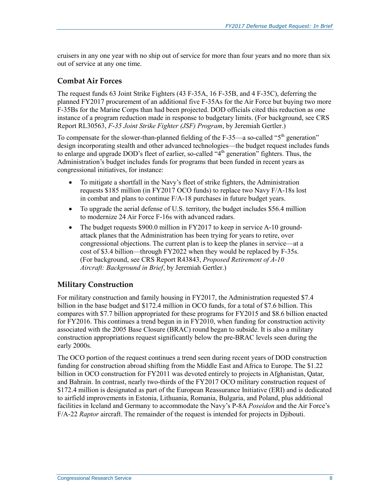cruisers in any one year with no ship out of service for more than four years and no more than six out of service at any one time.

#### **Combat Air Forces**

The request funds 63 Joint Strike Fighters (43 F-35A, 16 F-35B, and 4 F-35C), deferring the planned FY2017 procurement of an additional five F-35As for the Air Force but buying two more F-35Bs for the Marine Corps than had been projected. DOD officials cited this reduction as one instance of a program reduction made in response to budgetary limits. (For background, see CRS Report RL30563, *F-35 Joint Strike Fighter (JSF) Program*, by Jeremiah Gertler.)

To compensate for the slower-than-planned fielding of the F-35—a so-called " $5<sup>th</sup>$  generation" design incorporating stealth and other advanced technologies—the budget request includes funds to enlarge and upgrade DOD's fleet of earlier, so-called "4<sup>th</sup> generation" fighters. Thus, the Administration's budget includes funds for programs that been funded in recent years as congressional initiatives, for instance:

- To mitigate a shortfall in the Navy's fleet of strike fighters, the Administration requests \$185 million (in FY2017 OCO funds) to replace two Navy F/A-18s lost in combat and plans to continue F/A-18 purchases in future budget years.
- To upgrade the aerial defense of U.S. territory, the budget includes \$56.4 million to modernize 24 Air Force F-16s with advanced radars.
- The budget requests \$900.0 million in FY2017 to keep in service A-10 groundattack planes that the Administration has been trying for years to retire, over congressional objections. The current plan is to keep the planes in service—at a cost of \$3.4 billion—through FY2022 when they would be replaced by F-35s. (For background, see CRS Report R43843, *Proposed Retirement of A-10 Aircraft: Background in Brief*, by Jeremiah Gertler.)

#### **Military Construction**

For military construction and family housing in FY2017, the Administration requested \$7.4 billion in the base budget and \$172.4 million in OCO funds, for a total of \$7.6 billion. This compares with \$7.7 billion appropriated for these programs for FY2015 and \$8.6 billion enacted for FY2016. This continues a trend begun in in FY2010, when funding for construction activity associated with the 2005 Base Closure (BRAC) round began to subside. It is also a military construction appropriations request significantly below the pre-BRAC levels seen during the early 2000s.

The OCO portion of the request continues a trend seen during recent years of DOD construction funding for construction abroad shifting from the Middle East and Africa to Europe. The \$1.22 billion in OCO construction for FY2011 was devoted entirely to projects in Afghanistan, Qatar, and Bahrain. In contrast, nearly two-thirds of the FY2017 OCO military construction request of \$172.4 million is designated as part of the European Reassurance Initiative (ERI) and is dedicated to airfield improvements in Estonia, Lithuania, Romania, Bulgaria, and Poland, plus additional facilities in Iceland and Germany to accommodate the Navy's P-8A *Poseidon* and the Air Force's F/A-22 *Raptor* aircraft. The remainder of the request is intended for projects in Djibouti.